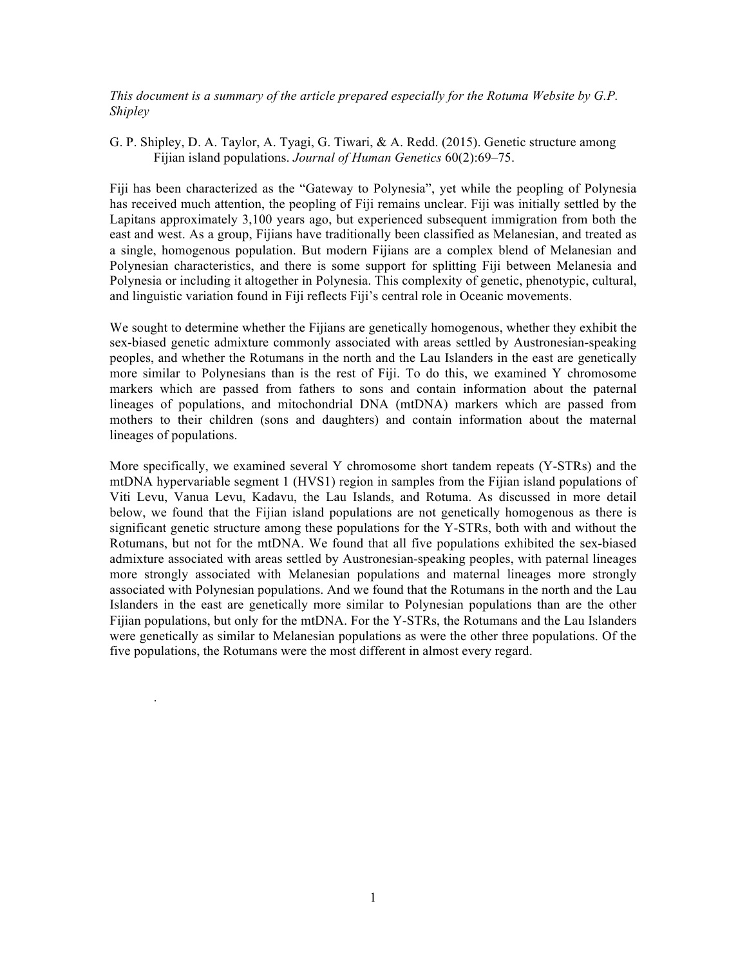*This document is a summary of the article prepared especially for the Rotuma Website by G.P. Shipley*

G. P. Shipley, D. A. Taylor, A. Tyagi, G. Tiwari, & A. Redd. (2015). Genetic structure among Fijian island populations. *Journal of Human Genetics* 60(2):69–75.

Fiji has been characterized as the "Gateway to Polynesia", yet while the peopling of Polynesia has received much attention, the peopling of Fiji remains unclear. Fiji was initially settled by the Lapitans approximately 3,100 years ago, but experienced subsequent immigration from both the east and west. As a group, Fijians have traditionally been classified as Melanesian, and treated as a single, homogenous population. But modern Fijians are a complex blend of Melanesian and Polynesian characteristics, and there is some support for splitting Fiji between Melanesia and Polynesia or including it altogether in Polynesia. This complexity of genetic, phenotypic, cultural, and linguistic variation found in Fiji reflects Fiji's central role in Oceanic movements.

We sought to determine whether the Fijians are genetically homogenous, whether they exhibit the sex-biased genetic admixture commonly associated with areas settled by Austronesian-speaking peoples, and whether the Rotumans in the north and the Lau Islanders in the east are genetically more similar to Polynesians than is the rest of Fiji. To do this, we examined Y chromosome markers which are passed from fathers to sons and contain information about the paternal lineages of populations, and mitochondrial DNA (mtDNA) markers which are passed from mothers to their children (sons and daughters) and contain information about the maternal lineages of populations.

More specifically, we examined several Y chromosome short tandem repeats (Y-STRs) and the mtDNA hypervariable segment 1 (HVS1) region in samples from the Fijian island populations of Viti Levu, Vanua Levu, Kadavu, the Lau Islands, and Rotuma. As discussed in more detail below, we found that the Fijian island populations are not genetically homogenous as there is significant genetic structure among these populations for the Y-STRs, both with and without the Rotumans, but not for the mtDNA. We found that all five populations exhibited the sex-biased admixture associated with areas settled by Austronesian-speaking peoples, with paternal lineages more strongly associated with Melanesian populations and maternal lineages more strongly associated with Polynesian populations. And we found that the Rotumans in the north and the Lau Islanders in the east are genetically more similar to Polynesian populations than are the other Fijian populations, but only for the mtDNA. For the Y-STRs, the Rotumans and the Lau Islanders were genetically as similar to Melanesian populations as were the other three populations. Of the five populations, the Rotumans were the most different in almost every regard.

.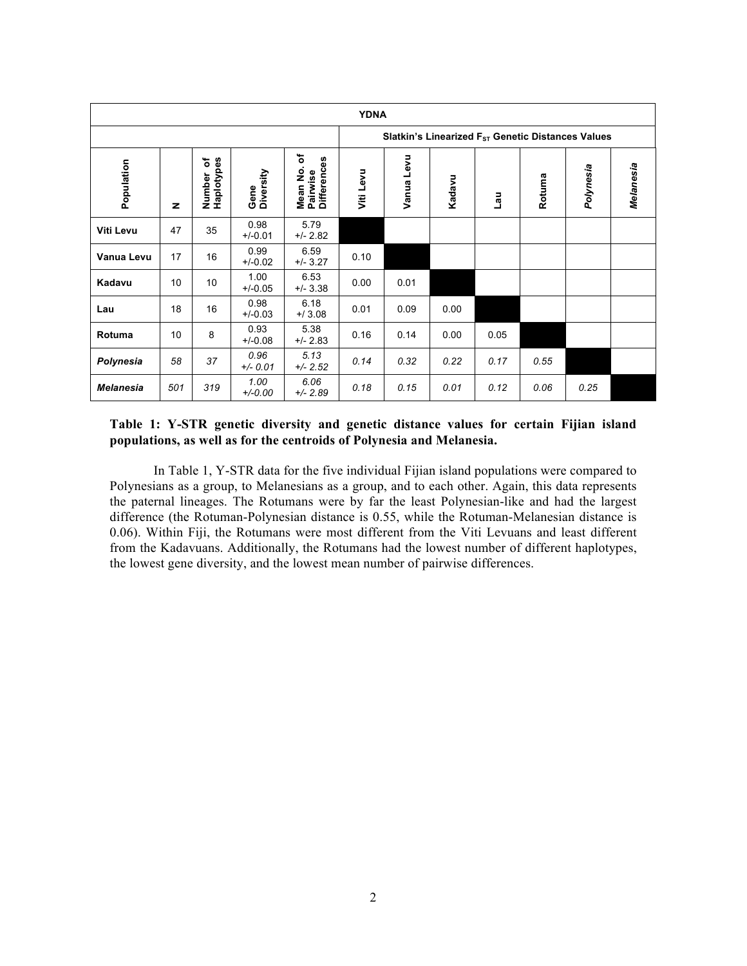| <b>YDNA</b>      |              |                                                 |                    |                                           |                                                               |            |        |         |        |           |           |  |
|------------------|--------------|-------------------------------------------------|--------------------|-------------------------------------------|---------------------------------------------------------------|------------|--------|---------|--------|-----------|-----------|--|
|                  |              |                                                 |                    |                                           | Slatkin's Linearized F <sub>ST</sub> Genetic Distances Values |            |        |         |        |           |           |  |
| Population       | $\mathbf{z}$ | Haplotypes<br>$\overline{\mathbf{c}}$<br>Number | Diversity<br>Gene  | ৳<br>Pairwise<br>Differences<br>ġ<br>Mean | Viti Levu                                                     | Vanua Levu | Kadavu | me<br>T | Rotuma | Polynesia | Melanesia |  |
| Viti Levu        | 47           | 35                                              | 0.98<br>$+/-0.01$  | 5.79<br>$+/- 2.82$                        |                                                               |            |        |         |        |           |           |  |
| Vanua Levu       | 17           | 16                                              | 0.99<br>$+/-0.02$  | 6.59<br>$+/- 3.27$                        | 0.10                                                          |            |        |         |        |           |           |  |
| Kadavu           | 10           | 10                                              | 1.00<br>$+/-0.05$  | 6.53<br>$+/- 3.38$                        | 0.00                                                          | 0.01       |        |         |        |           |           |  |
| Lau              | 18           | 16                                              | 0.98<br>$+/-0.03$  | 6.18<br>$+ / 3.08$                        | 0.01                                                          | 0.09       | 0.00   |         |        |           |           |  |
| Rotuma           | 10           | 8                                               | 0.93<br>$+/-0.08$  | 5.38<br>$+/- 2.83$                        | 0.16                                                          | 0.14       | 0.00   | 0.05    |        |           |           |  |
| Polynesia        | 58           | 37                                              | 0.96<br>$+/- 0.01$ | 5.13<br>$+/- 2.52$                        | 0.14                                                          | 0.32       | 0.22   | 0.17    | 0.55   |           |           |  |
| <b>Melanesia</b> | 501          | 319                                             | 1.00<br>$+/-0.00$  | 6.06<br>$+/- 2.89$                        | 0.18                                                          | 0.15       | 0.01   | 0.12    | 0.06   | 0.25      |           |  |

## **Table 1: Y-STR genetic diversity and genetic distance values for certain Fijian island populations, as well as for the centroids of Polynesia and Melanesia.**

In Table 1, Y-STR data for the five individual Fijian island populations were compared to Polynesians as a group, to Melanesians as a group, and to each other. Again, this data represents the paternal lineages. The Rotumans were by far the least Polynesian-like and had the largest difference (the Rotuman-Polynesian distance is 0.55, while the Rotuman-Melanesian distance is 0.06). Within Fiji, the Rotumans were most different from the Viti Levuans and least different from the Kadavuans. Additionally, the Rotumans had the lowest number of different haplotypes, the lowest gene diversity, and the lowest mean number of pairwise differences.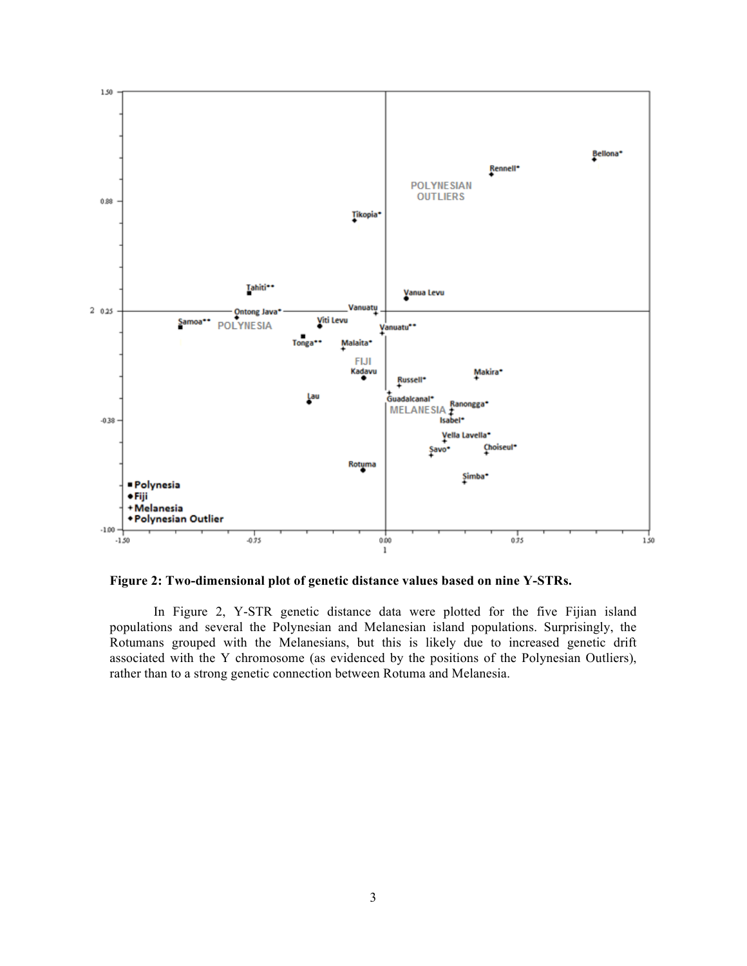

**Figure 2: Two-dimensional plot of genetic distance values based on nine Y-STRs.**

In Figure 2, Y-STR genetic distance data were plotted for the five Fijian island populations and several the Polynesian and Melanesian island populations. Surprisingly, the Rotumans grouped with the Melanesians, but this is likely due to increased genetic drift associated with the Y chromosome (as evidenced by the positions of the Polynesian Outliers), rather than to a strong genetic connection between Rotuma and Melanesia.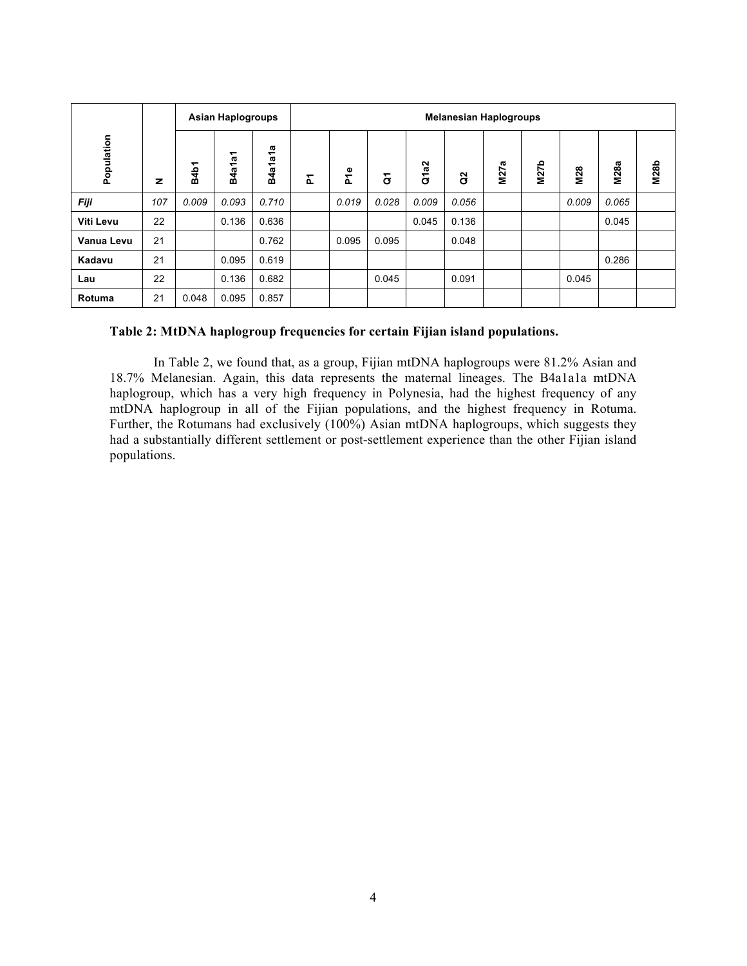|            |              | <b>Asian Haplogroups</b> |        |                     | <b>Melanesian Haplogroups</b> |       |                |       |       |      |             |            |             |             |
|------------|--------------|--------------------------|--------|---------------------|-------------------------------|-------|----------------|-------|-------|------|-------------|------------|-------------|-------------|
| Population | $\mathbf{z}$ | <b>B4b1</b>              | B4a1a1 | æ<br>۳£<br>4a1<br>œ | 집                             | P1e   | $\overline{c}$ | Q1a2  | 8     | M27a | <b>M27b</b> | <b>M28</b> | <b>M28a</b> | <b>M28b</b> |
| Fiji       | 107          | 0.009                    | 0.093  | 0.710               |                               | 0.019 | 0.028          | 0.009 | 0.056 |      |             | 0.009      | 0.065       |             |
| Viti Levu  | 22           |                          | 0.136  | 0.636               |                               |       |                | 0.045 | 0.136 |      |             |            | 0.045       |             |
| Vanua Levu | 21           |                          |        | 0.762               |                               | 0.095 | 0.095          |       | 0.048 |      |             |            |             |             |
| Kadavu     | 21           |                          | 0.095  | 0.619               |                               |       |                |       |       |      |             |            | 0.286       |             |
| Lau        | 22           |                          | 0.136  | 0.682               |                               |       | 0.045          |       | 0.091 |      |             | 0.045      |             |             |
| Rotuma     | 21           | 0.048                    | 0.095  | 0.857               |                               |       |                |       |       |      |             |            |             |             |

## **Table 2: MtDNA haplogroup frequencies for certain Fijian island populations.**

In Table 2, we found that, as a group, Fijian mtDNA haplogroups were 81.2% Asian and 18.7% Melanesian. Again, this data represents the maternal lineages. The B4a1a1a mtDNA haplogroup, which has a very high frequency in Polynesia, had the highest frequency of any mtDNA haplogroup in all of the Fijian populations, and the highest frequency in Rotuma. Further, the Rotumans had exclusively (100%) Asian mtDNA haplogroups, which suggests they had a substantially different settlement or post-settlement experience than the other Fijian island populations.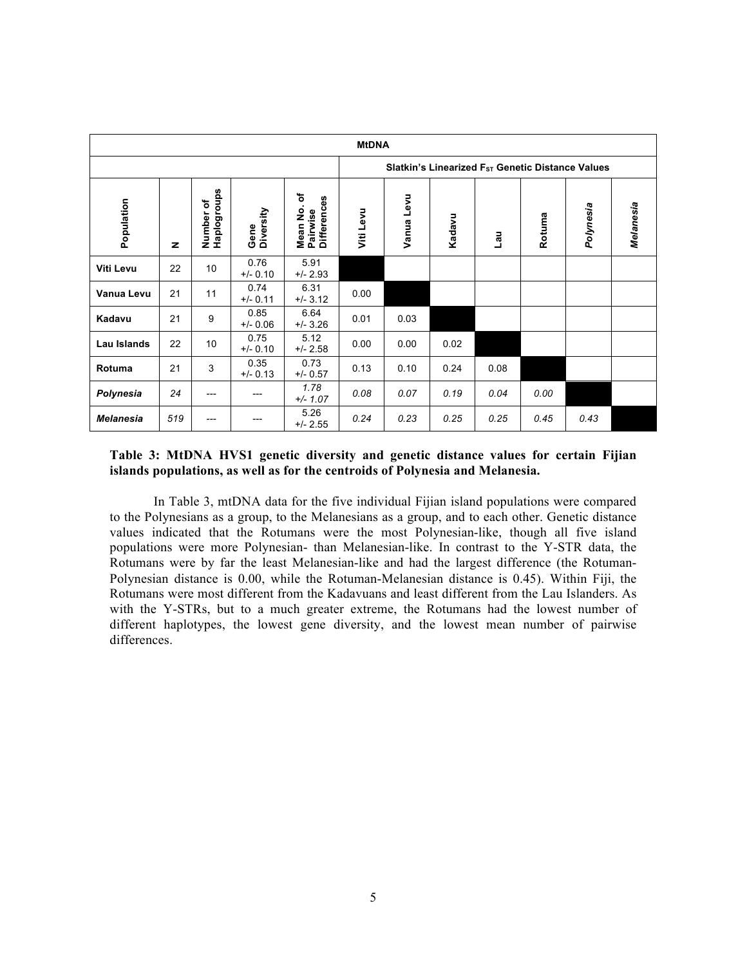| <b>MtDNA</b>     |              |                          |                    |                                                 |                                                              |            |        |      |        |           |           |  |  |
|------------------|--------------|--------------------------|--------------------|-------------------------------------------------|--------------------------------------------------------------|------------|--------|------|--------|-----------|-----------|--|--|
|                  |              |                          |                    |                                                 | Slatkin's Linearized F <sub>ST</sub> Genetic Distance Values |            |        |      |        |           |           |  |  |
| Population       | $\mathbf{z}$ | Number of<br>Haplogroups | Diversity<br>Gene  | ৳<br><b>Differences</b><br>Mean No.<br>Pairwise | Viti Levu                                                    | Vanua Levu | Kadavu | Lau  | Rotuma | Polynesia | Melanesia |  |  |
| <b>Viti Levu</b> | 22           | 10                       | 0.76<br>$+/- 0.10$ | 5.91<br>$+/- 2.93$                              |                                                              |            |        |      |        |           |           |  |  |
| Vanua Levu       | 21           | 11                       | 0.74<br>$+/- 0.11$ | 6.31<br>$+/- 3.12$                              | 0.00                                                         |            |        |      |        |           |           |  |  |
| Kadavu           | 21           | 9                        | 0.85<br>$+/- 0.06$ | 6.64<br>$+/- 3.26$                              | 0.01                                                         | 0.03       |        |      |        |           |           |  |  |
| Lau Islands      | 22           | 10                       | 0.75<br>$+/- 0.10$ | 5.12<br>$+/- 2.58$                              | 0.00                                                         | 0.00       | 0.02   |      |        |           |           |  |  |
| Rotuma           | 21           | 3                        | 0.35<br>$+/- 0.13$ | 0.73<br>$+/- 0.57$                              | 0.13                                                         | 0.10       | 0.24   | 0.08 |        |           |           |  |  |
| Polynesia        | 24           | ---                      | ---                | 1.78<br>$+/- 1.07$                              | 0.08                                                         | 0.07       | 0.19   | 0.04 | 0.00   |           |           |  |  |
| <b>Melanesia</b> | 519          | ---                      | ---                | 5.26<br>$+/- 2.55$                              | 0.24                                                         | 0.23       | 0.25   | 0.25 | 0.45   | 0.43      |           |  |  |

## **Table 3: MtDNA HVS1 genetic diversity and genetic distance values for certain Fijian islands populations, as well as for the centroids of Polynesia and Melanesia.**

In Table 3, mtDNA data for the five individual Fijian island populations were compared to the Polynesians as a group, to the Melanesians as a group, and to each other. Genetic distance values indicated that the Rotumans were the most Polynesian-like, though all five island populations were more Polynesian- than Melanesian-like. In contrast to the Y-STR data, the Rotumans were by far the least Melanesian-like and had the largest difference (the Rotuman-Polynesian distance is 0.00, while the Rotuman-Melanesian distance is 0.45). Within Fiji, the Rotumans were most different from the Kadavuans and least different from the Lau Islanders. As with the Y-STRs, but to a much greater extreme, the Rotumans had the lowest number of different haplotypes, the lowest gene diversity, and the lowest mean number of pairwise differences.